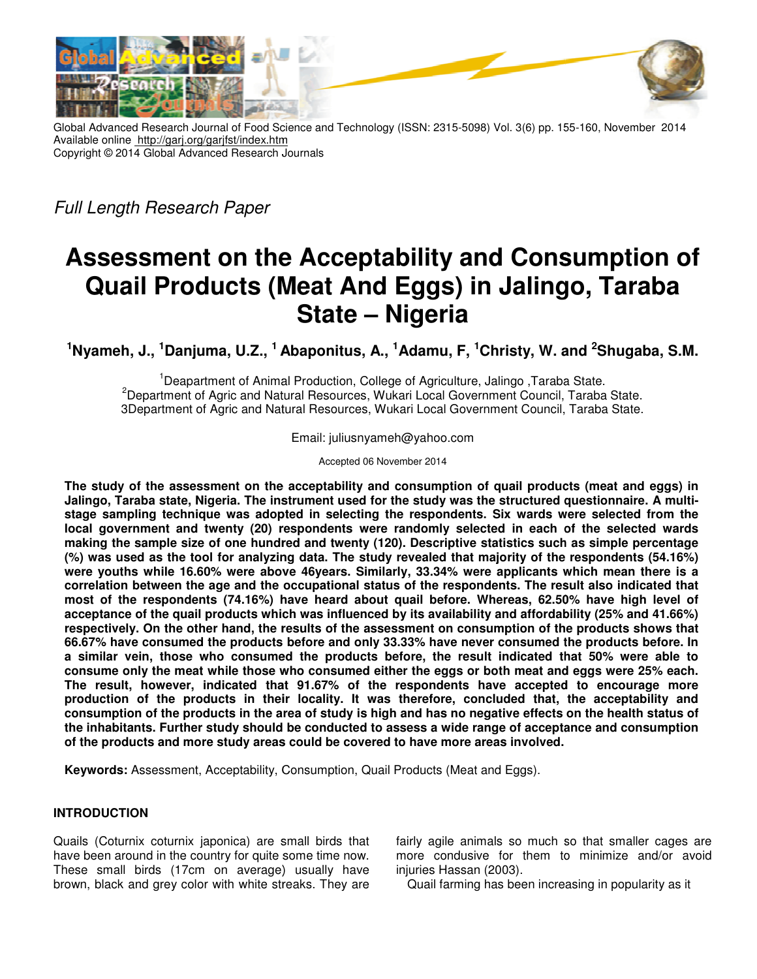

Global Advanced Research Journal of Food Science and Technology (ISSN: 2315-5098) Vol. 3(6) pp. 155-160, November 2014 Available online http://garj.org/garjfst/index.htm Copyright © 2014 Global Advanced Research Journals Global Advanced

Full Length Research Paper

# **Assessment on the Acceptability and Consumption of Quail Products (Meat And Eggs) in Jalingo, Taraba Quail Products in Jalingo, State – Nigeria**

**<sup>1</sup>Nyameh, J., <sup>1</sup>Danjuma, U.Z., <sup>1</sup>Abaponitus, A., <sup>1</sup>Adamu, F, <sup>1</sup>Christy, W. and <sup>2</sup>Shugaba, S.M.** 

<sup>1</sup>Deapartment of Animal Production, College of Agriculture, Jalingo ,Taraba State. <sup>2</sup>Department of Agric and Natural Resources, Wukari Local Government Council, Taraba State. 3Department of Agric and Natural Resources, Wukari Local Government Council, Taraba State. , Taraba State.<br>Council, Taraba<br>Council, Taraba

Email: juliusnyameh@yahoo.com

Accepted 06 November 2014

**The study of the assessment on the acceptability and consumption of quail products (meat and eggs) in Jalingo, Taraba state, Nigeria. The instrument used for the study was the structured questionnaire. A multi stage sampling technique was adopted in selecting the respondents. Six wards were selected from the**  local government and twenty (20) respondents were randomly selected in each of the selected wards **making the sample size of one hundred and twenty (120). Descriptive statistics such as simple percentage (%) was used as the tool for analyzing data. The study revealed that majority of the respondents (54.16%) were youths while 16.60% were above 46years. Similarly, 33.34% were applicants which mean there is a correlation between the age and the occupational status of the respondents. The result also indicated that most of the respondents (74.16%) have heard about qu acceptance of the quail products which was influenced by its availability and affordability (25% and 41.66%) respectively. On the other hand, the results of the assessment on consumption of the products shows 66.67% have consumed the products before and only 33.33% have never consumed the products before. In a similar vein, those who consumed the products before, the result indicated that 50% were able to**  acceptance of the quail products which was influenced by its availability and affordability (25% and 41.66%)<br>respectively. On the other hand, the results of the assessment on consumption of the products shows that<br>66.67% h **The result, however, indicated that 91.67% of the respondents have accepted to encourage more production of the products in their locality. It was therefore, concluded that, the acceptability and consumption of the products in the area of study is high and has no negative effects on the health status of the inhabitants. Further study should be conducted to assess a wide range of acceptance and consumption of the products and more study areas could be covered**  udy of the assessment on the acceptability and consumption of quail products (meat and eggs) in<br>b, Taraba state, Nigeria. The instrument used for the study was the structured questionnaire. A multi-<br>sampling technique was making the sample size of one hundred and twenty (120). Descriptive statistics such as simple percentage (%) was used as the tool for analyzing data. The study revealed that majority of the respondents (54.16%) were youths The result, however, indicated that 91.67% of the respondents have accepted to encourage revoluction of the products in their locality. It was therefore, concluded that, the acceptability consumption of the products in the **multi**ndomly selected in each of the selected wards<br>Descriptive statistics such as simple percentage<br>vealed that majority of the respondents (54.16%)<br>, 33.34% were applicants which mean there is a<br>of the respondents. The result

Keywords: Assessment, Acceptability, Consumption, Quail Products (Meat and Eggs).

# **INTRODUCTION**

Quails (Coturnix coturnix japonica) are small birds that have been around in the country for quite some time now. These small birds (17cm on average) usually have brown, black and grey color with white streaks. They are Coturnix coturnix japonica) are small birds that fairly agile animals so much so that smaller cages are<br>en around in the country for quite some time now. More condusive for them to minimize and/or avoid<br>small birds (17cm o

more condusive for them to minimize and/or avoid injuries Hassan (2003). fairly agile animals so much so that smaller cages are<br>more condusive for them to minimize and/or avoid<br>injuries Hassan (2003).<br>Quail farming has been increasing in popularity as it

Quail farming has been increasing in popularity as it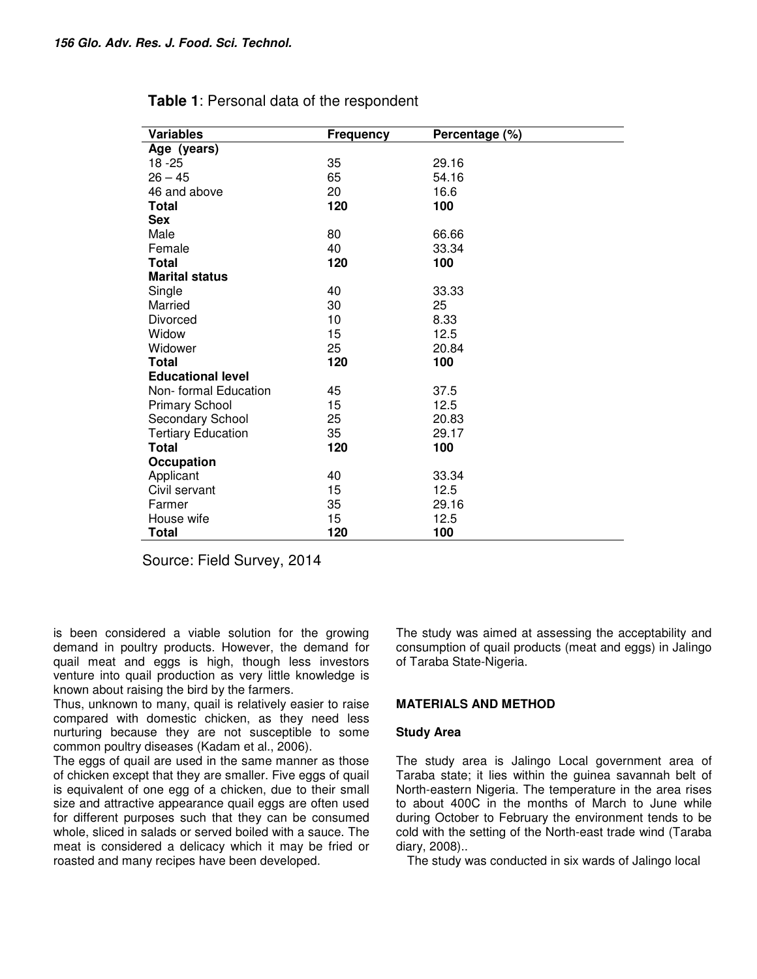| <b>Variables</b>          | <b>Frequency</b> | Percentage (%) |
|---------------------------|------------------|----------------|
| Age (years)               |                  |                |
| $18 - 25$                 | 35               | 29.16          |
| $26 - 45$                 | 65               | 54.16          |
| 46 and above              | 20               | 16.6           |
| Total                     | 120              | 100            |
| <b>Sex</b>                |                  |                |
| Male                      | 80               | 66.66          |
| Female                    | 40               | 33.34          |
| <b>Total</b>              | 120              | 100            |
| <b>Marital status</b>     |                  |                |
| Single                    | 40               | 33.33          |
| Married                   | 30               | 25             |
| <b>Divorced</b>           | 10               | 8.33           |
| Widow                     | 15               | 12.5           |
| Widower                   | 25               | 20.84          |
| <b>Total</b>              | 120              | 100            |
| <b>Educational level</b>  |                  |                |
| Non-formal Education      | 45               | 37.5           |
| <b>Primary School</b>     | 15               | 12.5           |
| Secondary School          | 25               | 20.83          |
| <b>Tertiary Education</b> | 35               | 29.17          |
| <b>Total</b>              | 120              | 100            |
| Occupation                |                  |                |
| Applicant                 | 40               | 33.34          |
| Civil servant             | 15               | 12.5           |
| Farmer                    | 35               | 29.16          |
| House wife                | 15               | 12.5           |
| Total                     | 120              | 100            |

| Table 1: Personal data of the respondent |  |
|------------------------------------------|--|
|------------------------------------------|--|

Source: Field Survey, 2014

is been considered a viable solution for the growing demand in poultry products. However, the demand for quail meat and eggs is high, though less investors venture into quail production as very little knowledge is known about raising the bird by the farmers.

Thus, unknown to many, quail is relatively easier to raise compared with domestic chicken, as they need less nurturing because they are not susceptible to some common poultry diseases (Kadam et al., 2006).

The eggs of quail are used in the same manner as those of chicken except that they are smaller. Five eggs of quail is equivalent of one egg of a chicken, due to their small size and attractive appearance quail eggs are often used for different purposes such that they can be consumed whole, sliced in salads or served boiled with a sauce. The meat is considered a delicacy which it may be fried or roasted and many recipes have been developed.

The study was aimed at assessing the acceptability and consumption of quail products (meat and eggs) in Jalingo of Taraba State-Nigeria.

## **MATERIALS AND METHOD**

## **Study Area**

The study area is Jalingo Local government area of Taraba state; it lies within the guinea savannah belt of North-eastern Nigeria. The temperature in the area rises to about 400C in the months of March to June while during October to February the environment tends to be cold with the setting of the North-east trade wind (Taraba diary, 2008)..

The study was conducted in six wards of Jalingo local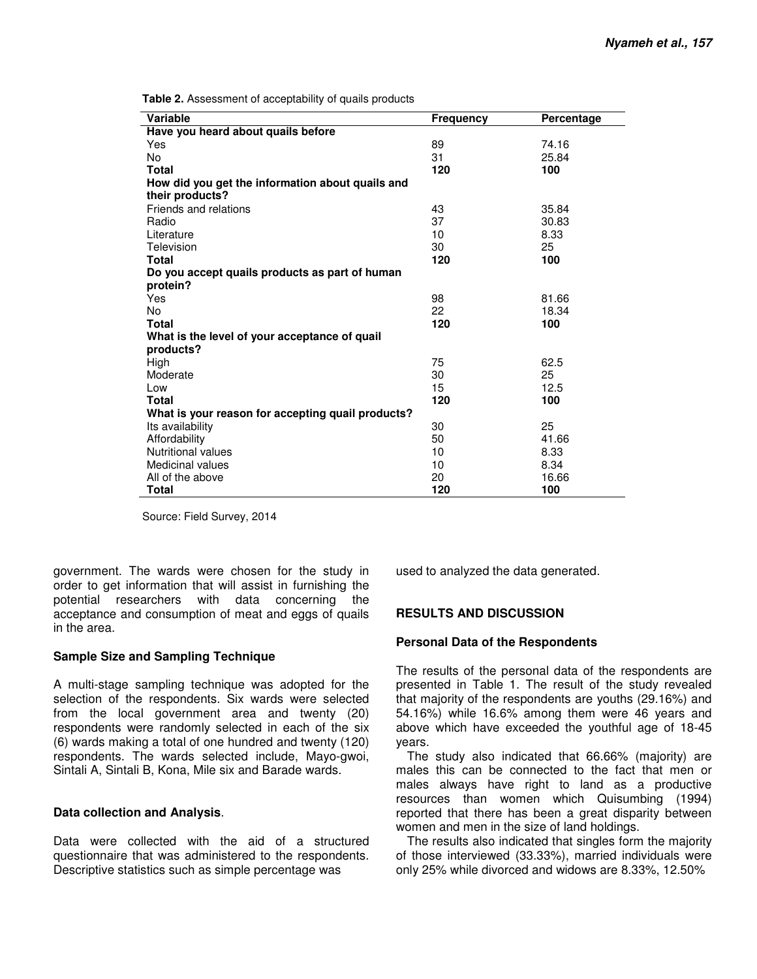**Table 2.** Assessment of acceptability of quails products

| <b>Variable</b>                                   | <b>Frequency</b> | Percentage |
|---------------------------------------------------|------------------|------------|
| Have you heard about quails before                |                  |            |
| Yes                                               | 89               | 74.16      |
| <b>No</b>                                         | 31               | 25.84      |
| Total                                             | 120              | 100        |
| How did you get the information about quails and  |                  |            |
| their products?                                   |                  |            |
| Friends and relations                             | 43               | 35.84      |
| Radio                                             | 37               | 30.83      |
| Literature                                        | 10               | 8.33       |
| Television                                        | 30               | 25         |
| Total                                             | 120              | 100        |
| Do you accept quails products as part of human    |                  |            |
| protein?                                          |                  |            |
| Yes                                               | 98               | 81.66      |
| No                                                | 22               | 18.34      |
| Total                                             | 120              | 100        |
| What is the level of your acceptance of quail     |                  |            |
| products?                                         |                  |            |
| High                                              | 75               | 62.5       |
| Moderate                                          | 30               | 25         |
| Low                                               | 15               | 12.5       |
| Total                                             | 120              | 100        |
| What is your reason for accepting quail products? |                  |            |
| Its availability                                  | 30               | 25         |
| Affordability                                     | 50               | 41.66      |
| <b>Nutritional values</b>                         | 10               | 8.33       |
| Medicinal values                                  | 10               | 8.34       |
| All of the above                                  | 20               | 16.66      |
| Total                                             | 120              | 100        |

Source: Field Survey, 2014

government. The wards were chosen for the study in order to get information that will assist in furnishing the potential researchers with data concerning the acceptance and consumption of meat and eggs of quails in the area.

## **Sample Size and Sampling Technique**

A multi-stage sampling technique was adopted for the selection of the respondents. Six wards were selected from the local government area and twenty (20) respondents were randomly selected in each of the six (6) wards making a total of one hundred and twenty (120) respondents. The wards selected include, Mayo-gwoi, Sintali A, Sintali B, Kona, Mile six and Barade wards.

#### **Data collection and Analysis**.

Data were collected with the aid of a structured questionnaire that was administered to the respondents. Descriptive statistics such as simple percentage was

used to analyzed the data generated.

#### **RESULTS AND DISCUSSION**

#### **Personal Data of the Respondents**

The results of the personal data of the respondents are presented in Table 1. The result of the study revealed that majority of the respondents are youths (29.16%) and 54.16%) while 16.6% among them were 46 years and above which have exceeded the youthful age of 18-45 years.

The study also indicated that 66.66% (majority) are males this can be connected to the fact that men or males always have right to land as a productive resources than women which Quisumbing (1994) reported that there has been a great disparity between women and men in the size of land holdings.

The results also indicated that singles form the majority of those interviewed (33.33%), married individuals were only 25% while divorced and widows are 8.33%, 12.50%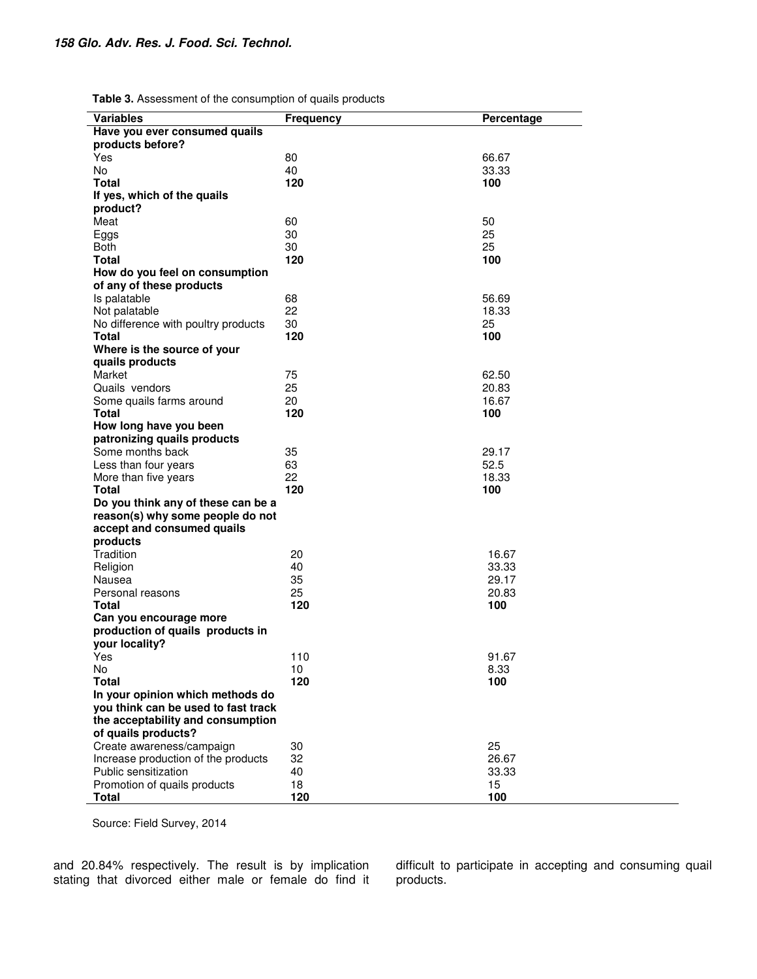| <b>Table 3.</b> Assessment of the consumption of quails products |  |  |
|------------------------------------------------------------------|--|--|
|------------------------------------------------------------------|--|--|

| <b>Variables</b>                    | <b>Frequency</b> | Percentage |
|-------------------------------------|------------------|------------|
| Have you ever consumed quails       |                  |            |
| products before?                    |                  |            |
| Yes                                 | 80               | 66.67      |
| No                                  | 40               | 33.33      |
| <b>Total</b>                        | 120              | 100        |
| If yes, which of the quails         |                  |            |
| product?                            |                  |            |
| Meat                                | 60               | 50         |
| Eggs                                | 30               | 25         |
| <b>Both</b>                         | 30               | 25         |
| Total                               | 120              | 100        |
| How do you feel on consumption      |                  |            |
| of any of these products            |                  |            |
|                                     |                  |            |
| Is palatable                        | 68               | 56.69      |
| Not palatable                       | 22               | 18.33      |
| No difference with poultry products | 30               | 25         |
| Total                               | 120              | 100        |
| Where is the source of your         |                  |            |
| quails products                     |                  |            |
| Market                              | 75               | 62.50      |
| Quails vendors                      | 25               | 20.83      |
| Some quails farms around            | 20               | 16.67      |
| <b>Total</b>                        | 120              | 100        |
| How long have you been              |                  |            |
| patronizing quails products         |                  |            |
| Some months back                    | 35               | 29.17      |
| Less than four years                | 63               | 52.5       |
| More than five years                | 22               | 18.33      |
| <b>Total</b>                        | 120              | 100        |
| Do you think any of these can be a  |                  |            |
| reason(s) why some people do not    |                  |            |
| accept and consumed quails          |                  |            |
| products                            |                  |            |
| Tradition                           | 20               | 16.67      |
| Religion                            | 40               | 33.33      |
| Nausea                              | 35               | 29.17      |
| Personal reasons                    | 25               | 20.83      |
| Total                               | 120              | 100        |
| Can you encourage more              |                  |            |
| production of quails products in    |                  |            |
| your locality?                      |                  |            |
| Yes                                 | 110              | 91.67      |
|                                     | 10               |            |
| No<br><b>Total</b>                  |                  | 8.33       |
|                                     | 120              | 100        |
| In your opinion which methods do    |                  |            |
| you think can be used to fast track |                  |            |
| the acceptability and consumption   |                  |            |
| of quails products?                 |                  |            |
| Create awareness/campaign           | 30               | 25         |
| Increase production of the products | 32               | 26.67      |
| Public sensitization                | 40               | 33.33      |
| Promotion of quails products        | 18               | 15         |
| Total                               | 120              | 100        |

Source: Field Survey, 2014

and 20.84% respectively. The result is by implication stating that divorced either male or female do find it difficult to participate in accepting and consuming quail products.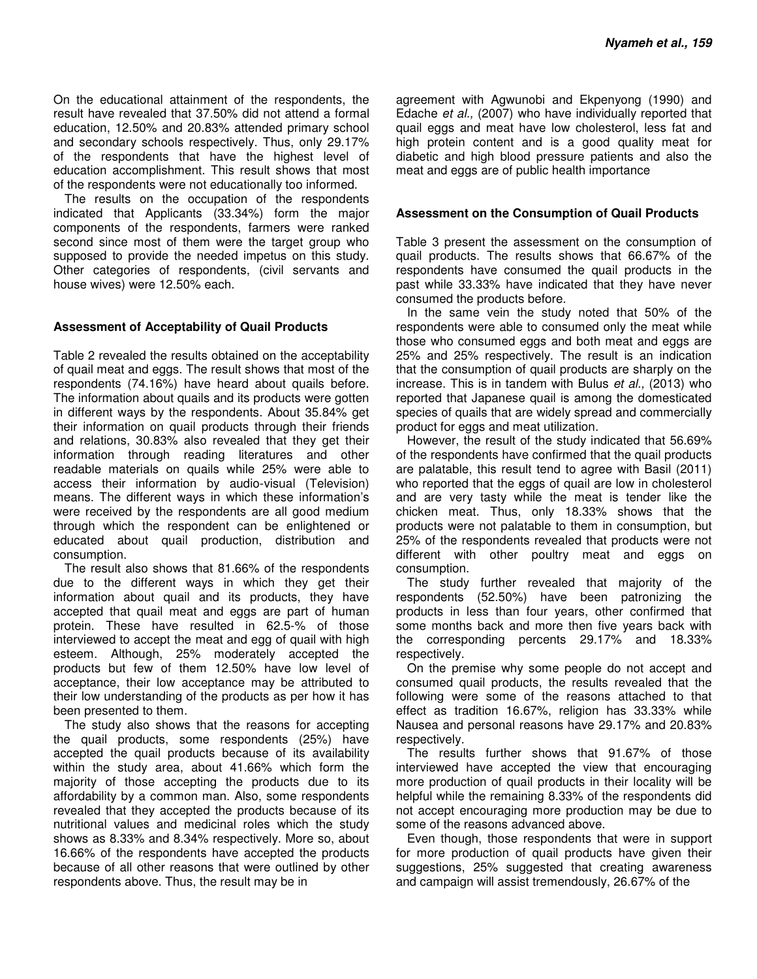On the educational attainment of the respondents, the result have revealed that 37.50% did not attend a formal education, 12.50% and 20.83% attended primary school and secondary schools respectively. Thus, only 29.17% of the respondents that have the highest level of education accomplishment. This result shows that most of the respondents were not educationally too informed.

The results on the occupation of the respondents indicated that Applicants (33.34%) form the major components of the respondents, farmers were ranked second since most of them were the target group who supposed to provide the needed impetus on this study. Other categories of respondents, (civil servants and house wives) were 12.50% each.

#### **Assessment of Acceptability of Quail Products**

Table 2 revealed the results obtained on the acceptability of quail meat and eggs. The result shows that most of the respondents (74.16%) have heard about quails before. The information about quails and its products were gotten in different ways by the respondents. About 35.84% get their information on quail products through their friends and relations, 30.83% also revealed that they get their information through reading literatures and other readable materials on quails while 25% were able to access their information by audio-visual (Television) means. The different ways in which these information's were received by the respondents are all good medium through which the respondent can be enlightened or educated about quail production, distribution and consumption.

The result also shows that 81.66% of the respondents due to the different ways in which they get their information about quail and its products, they have accepted that quail meat and eggs are part of human protein. These have resulted in 62.5-% of those interviewed to accept the meat and egg of quail with high esteem. Although, 25% moderately accepted the products but few of them 12.50% have low level of acceptance, their low acceptance may be attributed to their low understanding of the products as per how it has been presented to them.

The study also shows that the reasons for accepting the quail products, some respondents (25%) have accepted the quail products because of its availability within the study area, about 41.66% which form the majority of those accepting the products due to its affordability by a common man. Also, some respondents revealed that they accepted the products because of its nutritional values and medicinal roles which the study shows as 8.33% and 8.34% respectively. More so, about 16.66% of the respondents have accepted the products because of all other reasons that were outlined by other respondents above. Thus, the result may be in

agreement with Agwunobi and Ekpenyong (1990) and Edache et al., (2007) who have individually reported that quail eggs and meat have low cholesterol, less fat and high protein content and is a good quality meat for diabetic and high blood pressure patients and also the meat and eggs are of public health importance

#### **Assessment on the Consumption of Quail Products**

Table 3 present the assessment on the consumption of quail products. The results shows that 66.67% of the respondents have consumed the quail products in the past while 33.33% have indicated that they have never consumed the products before.

In the same vein the study noted that 50% of the respondents were able to consumed only the meat while those who consumed eggs and both meat and eggs are 25% and 25% respectively. The result is an indication that the consumption of quail products are sharply on the increase. This is in tandem with Bulus et al., (2013) who reported that Japanese quail is among the domesticated species of quails that are widely spread and commercially product for eggs and meat utilization.

However, the result of the study indicated that 56.69% of the respondents have confirmed that the quail products are palatable, this result tend to agree with Basil (2011) who reported that the eggs of quail are low in cholesterol and are very tasty while the meat is tender like the chicken meat. Thus, only 18.33% shows that the products were not palatable to them in consumption, but 25% of the respondents revealed that products were not different with other poultry meat and eggs on consumption.

The study further revealed that majority of the respondents (52.50%) have been patronizing the products in less than four years, other confirmed that some months back and more then five years back with the corresponding percents 29.17% and 18.33% respectively.

On the premise why some people do not accept and consumed quail products, the results revealed that the following were some of the reasons attached to that effect as tradition 16.67%, religion has 33.33% while Nausea and personal reasons have 29.17% and 20.83% respectively.

The results further shows that 91.67% of those interviewed have accepted the view that encouraging more production of quail products in their locality will be helpful while the remaining 8.33% of the respondents did not accept encouraging more production may be due to some of the reasons advanced above.

Even though, those respondents that were in support for more production of quail products have given their suggestions, 25% suggested that creating awareness and campaign will assist tremendously, 26.67% of the